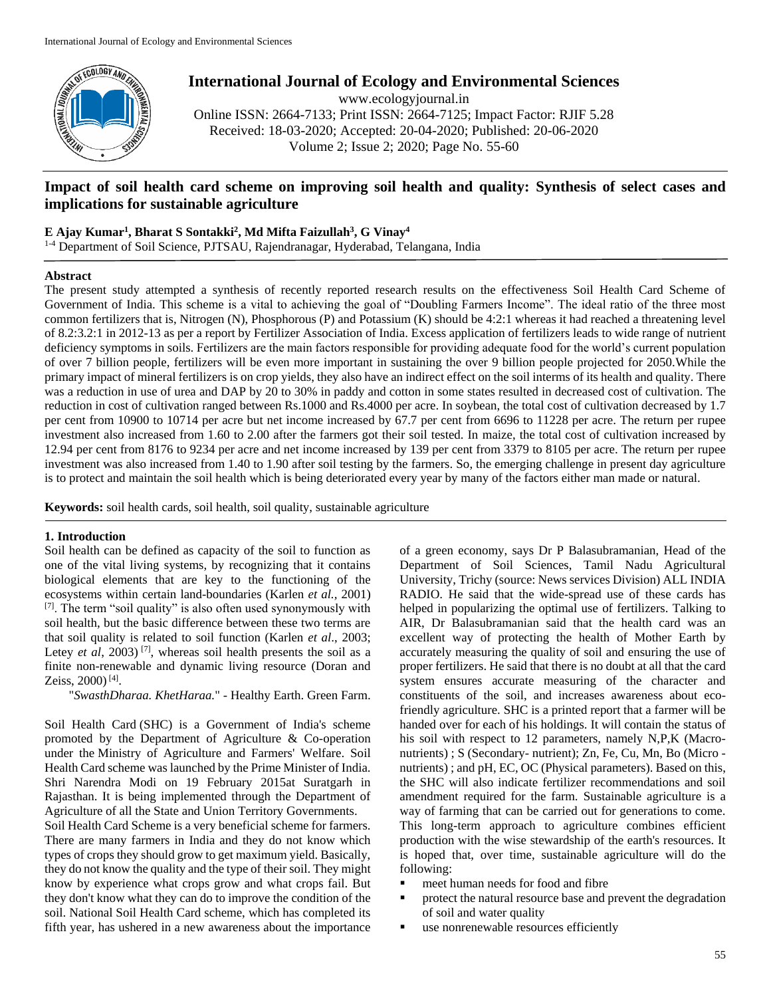

**International Journal of Ecology and Environmental Sciences** www.ecologyjournal.in

Online ISSN: 2664-7133; Print ISSN: 2664-7125; Impact Factor: RJIF 5.28 Received: 18-03-2020; Accepted: 20-04-2020; Published: 20-06-2020 Volume 2; Issue 2; 2020; Page No. 55-60

# **Impact of soil health card scheme on improving soil health and quality: Synthesis of select cases and implications for sustainable agriculture**

## **E Ajay Kumar<sup>1</sup> , Bharat S Sontakki<sup>2</sup> , Md Mifta Faizullah<sup>3</sup> , G Vinay<sup>4</sup>**

1-4 Department of Soil Science, PJTSAU, Rajendranagar, Hyderabad, Telangana, India

### **Abstract**

The present study attempted a synthesis of recently reported research results on the effectiveness Soil Health Card Scheme of Government of India. This scheme is a vital to achieving the goal of "Doubling Farmers Income". The ideal ratio of the three most common fertilizers that is, Nitrogen (N), Phosphorous (P) and Potassium (K) should be 4:2:1 whereas it had reached a threatening level of 8.2:3.2:1 in 2012-13 as per a report by Fertilizer Association of India. Excess application of fertilizers leads to wide range of nutrient deficiency symptoms in soils. Fertilizers are the main factors responsible for providing adequate food for the world's current population of over 7 billion people, fertilizers will be even more important in sustaining the over 9 billion people projected for 2050.While the primary impact of mineral fertilizers is on crop yields, they also have an indirect effect on the soil interms of its health and quality. There was a reduction in use of urea and DAP by 20 to 30% in paddy and cotton in some states resulted in decreased cost of cultivation. The reduction in cost of cultivation ranged between Rs.1000 and Rs.4000 per acre. In soybean, the total cost of cultivation decreased by 1.7 per cent from 10900 to 10714 per acre but net income increased by 67.7 per cent from 6696 to 11228 per acre. The return per rupee investment also increased from 1.60 to 2.00 after the farmers got their soil tested. In maize, the total cost of cultivation increased by 12.94 per cent from 8176 to 9234 per acre and net income increased by 139 per cent from 3379 to 8105 per acre. The return per rupee investment was also increased from 1.40 to 1.90 after soil testing by the farmers. So, the emerging challenge in present day agriculture is to protect and maintain the soil health which is being deteriorated every year by many of the factors either man made or natural.

**Keywords:** soil health cards, soil health, soil quality, sustainable agriculture

# **1. Introduction**

Soil health can be defined as capacity of the soil to function as one of the vital living systems, by recognizing that it contains biological elements that are key to the functioning of the ecosystems within certain land-boundaries (Karlen *et al.,* 2001) [7]. The term "soil quality" is also often used synonymously with soil health, but the basic difference between these two terms are that soil quality is related to soil function (Karlen *et al*., 2003; Letey *et al*, 2003)<sup>[7]</sup>, whereas soil health presents the soil as a finite non-renewable and dynamic living resource (Doran and Zeiss, 2000)<sup>[4]</sup>.

"*SwasthDharaa. KhetHaraa.*" - Healthy Earth. Green Farm.

Soil Health Card (SHC) is a Government of India's scheme promoted by the Department of Agriculture & Co-operation under the Ministry of Agriculture and Farmers' Welfare. Soil Health Card scheme was launched by the Prime Minister of India. Shri Narendra Modi on 19 February 2015at Suratgarh in Rajasthan. It is being implemented through the Department of Agriculture of all the State and Union Territory Governments.

Soil Health Card Scheme is a very beneficial scheme for farmers. There are many farmers in India and they do not know which types of crops they should grow to get maximum yield. Basically, they do not know the quality and the type of their soil. They might know by experience what crops grow and what crops fail. But they don't know what they can do to improve the condition of the soil. National Soil Health Card scheme, which has completed its fifth year, has ushered in a new awareness about the importance

of a green economy, says Dr P Balasubramanian, Head of the Department of Soil Sciences, Tamil Nadu Agricultural University, Trichy (source: News services Division) ALL INDIA RADIO. He said that the wide-spread use of these cards has helped in popularizing the optimal use of fertilizers. Talking to AIR, Dr Balasubramanian said that the health card was an excellent way of protecting the health of Mother Earth by accurately measuring the quality of soil and ensuring the use of proper fertilizers. He said that there is no doubt at all that the card system ensures accurate measuring of the character and constituents of the soil, and increases awareness about ecofriendly agriculture. SHC is a printed report that a farmer will be handed over for each of his holdings. It will contain the status of his soil with respect to 12 parameters, namely N,P,K (Macronutrients) ; S (Secondary- nutrient); Zn, Fe, Cu, Mn, Bo (Micro nutrients) ; and pH, EC, OC (Physical parameters). Based on this, the SHC will also indicate fertilizer recommendations and soil amendment required for the farm. Sustainable agriculture is a way of farming that can be carried out for generations to come. This long-term approach to agriculture combines efficient production with the wise stewardship of the earth's resources. It is hoped that, over time, sustainable agriculture will do the following:

- meet human needs for food and fibre
- **•** protect the natural resource base and prevent the degradation of soil and water quality
- use nonrenewable resources efficiently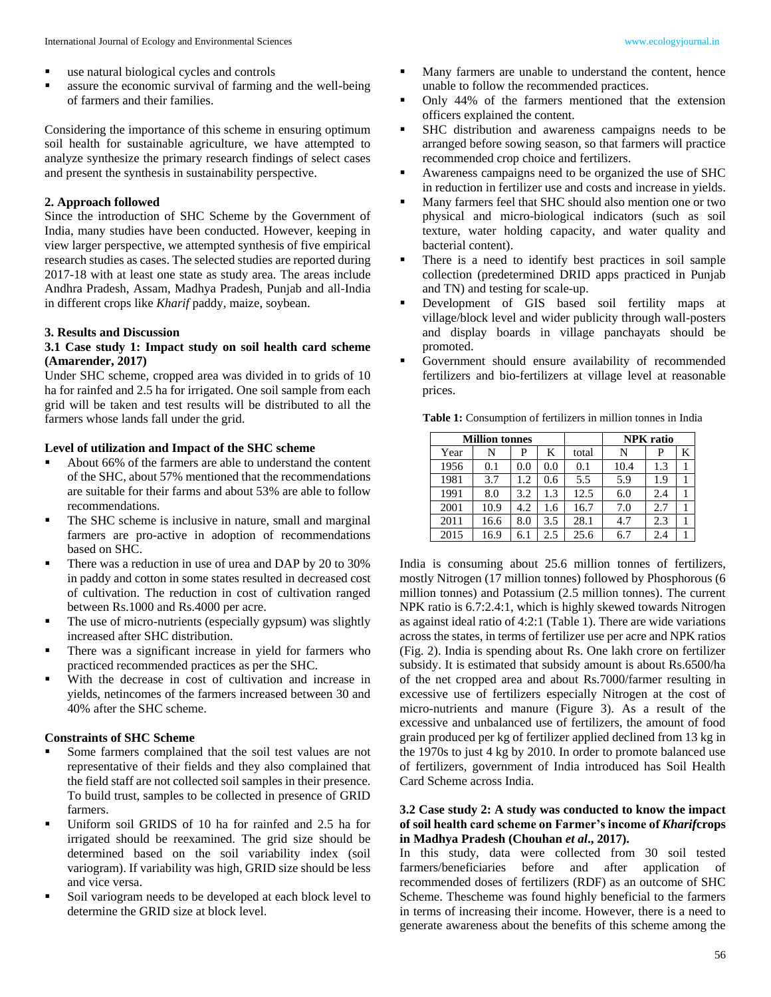- use natural biological cycles and controls
- assure the economic survival of farming and the well-being of farmers and their families.

Considering the importance of this scheme in ensuring optimum soil health for sustainable agriculture, we have attempted to analyze synthesize the primary research findings of select cases and present the synthesis in sustainability perspective.

### **2. Approach followed**

Since the introduction of SHC Scheme by the Government of India, many studies have been conducted. However, keeping in view larger perspective, we attempted synthesis of five empirical research studies as cases. The selected studies are reported during 2017-18 with at least one state as study area. The areas include Andhra Pradesh, Assam, Madhya Pradesh, Punjab and all-India in different crops like *Kharif* paddy, maize, soybean.

# **3. Results and Discussion**

### **3.1 Case study 1: Impact study on soil health card scheme (Amarender, 2017)**

Under SHC scheme, cropped area was divided in to grids of 10 ha for rainfed and 2.5 ha for irrigated. One soil sample from each grid will be taken and test results will be distributed to all the farmers whose lands fall under the grid.

### **Level of utilization and Impact of the SHC scheme**

- About 66% of the farmers are able to understand the content of the SHC, about 57% mentioned that the recommendations are suitable for their farms and about 53% are able to follow recommendations.
- The SHC scheme is inclusive in nature, small and marginal farmers are pro-active in adoption of recommendations based on SHC.
- There was a reduction in use of urea and DAP by 20 to 30% in paddy and cotton in some states resulted in decreased cost of cultivation. The reduction in cost of cultivation ranged between Rs.1000 and Rs.4000 per acre.
- The use of micro-nutrients (especially gypsum) was slightly increased after SHC distribution.
- There was a significant increase in yield for farmers who practiced recommended practices as per the SHC.
- With the decrease in cost of cultivation and increase in yields, netincomes of the farmers increased between 30 and 40% after the SHC scheme.

# **Constraints of SHC Scheme**

- Some farmers complained that the soil test values are not representative of their fields and they also complained that the field staff are not collected soil samples in their presence. To build trust, samples to be collected in presence of GRID farmers.
- Uniform soil GRIDS of 10 ha for rainfed and 2.5 ha for irrigated should be reexamined. The grid size should be determined based on the soil variability index (soil variogram). If variability was high, GRID size should be less and vice versa.
- Soil variogram needs to be developed at each block level to determine the GRID size at block level.
- Many farmers are unable to understand the content, hence unable to follow the recommended practices.
- Only 44% of the farmers mentioned that the extension officers explained the content.
- SHC distribution and awareness campaigns needs to be arranged before sowing season, so that farmers will practice recommended crop choice and fertilizers.
- Awareness campaigns need to be organized the use of SHC in reduction in fertilizer use and costs and increase in yields.
- Many farmers feel that SHC should also mention one or two physical and micro-biological indicators (such as soil texture, water holding capacity, and water quality and bacterial content).
- There is a need to identify best practices in soil sample collection (predetermined DRID apps practiced in Punjab and TN) and testing for scale-up.
- Development of GIS based soil fertility maps at village/block level and wider publicity through wall-posters and display boards in village panchayats should be promoted.
- Government should ensure availability of recommended fertilizers and bio-fertilizers at village level at reasonable prices.

| Table 1: Consumption of fertilizers in million tonnes in India |  |  |  |
|----------------------------------------------------------------|--|--|--|
|----------------------------------------------------------------|--|--|--|

|      | <b>Million tonnes</b> |     |     |       |      | <b>NPK</b> ratio |   |
|------|-----------------------|-----|-----|-------|------|------------------|---|
| Year | N                     | P   | K   | total | N    | P                | K |
| 1956 | 0.1                   | 0.0 | 0.0 | 0.1   | 10.4 | 1.3              |   |
| 1981 | 3.7                   | 1.2 | 0.6 | 5.5   | 5.9  | 1.9              |   |
| 1991 | 8.0                   | 3.2 | 1.3 | 12.5  | 6.0  | 2.4              |   |
| 2001 | 10.9                  | 4.2 | 1.6 | 16.7  | 7.0  | 2.7              |   |
| 2011 | 16.6                  | 8.0 | 3.5 | 28.1  | 4.7  | 2.3              |   |
| 2015 | 16.9                  | 6.1 | 2.5 | 25.6  | 6.7  | 2.4              |   |

India is consuming about 25.6 million tonnes of fertilizers, mostly Nitrogen (17 million tonnes) followed by Phosphorous (6 million tonnes) and Potassium (2.5 million tonnes). The current NPK ratio is 6.7:2.4:1, which is highly skewed towards Nitrogen as against ideal ratio of 4:2:1 (Table 1). There are wide variations across the states, in terms of fertilizer use per acre and NPK ratios (Fig. 2). India is spending about Rs. One lakh crore on fertilizer subsidy. It is estimated that subsidy amount is about Rs.6500/ha of the net cropped area and about Rs.7000/farmer resulting in excessive use of fertilizers especially Nitrogen at the cost of micro-nutrients and manure (Figure 3). As a result of the excessive and unbalanced use of fertilizers, the amount of food grain produced per kg of fertilizer applied declined from 13 kg in the 1970s to just 4 kg by 2010. In order to promote balanced use of fertilizers, government of India introduced has Soil Health Card Scheme across India.

### **3.2 Case study 2: A study was conducted to know the impact of soil health card scheme on Farmer's income of** *Kharif***crops in Madhya Pradesh (Chouhan** *et al***., 2017).**

In this study, data were collected from 30 soil tested farmers/beneficiaries before and after application of recommended doses of fertilizers (RDF) as an outcome of SHC Scheme. Thescheme was found highly beneficial to the farmers in terms of increasing their income. However, there is a need to generate awareness about the benefits of this scheme among the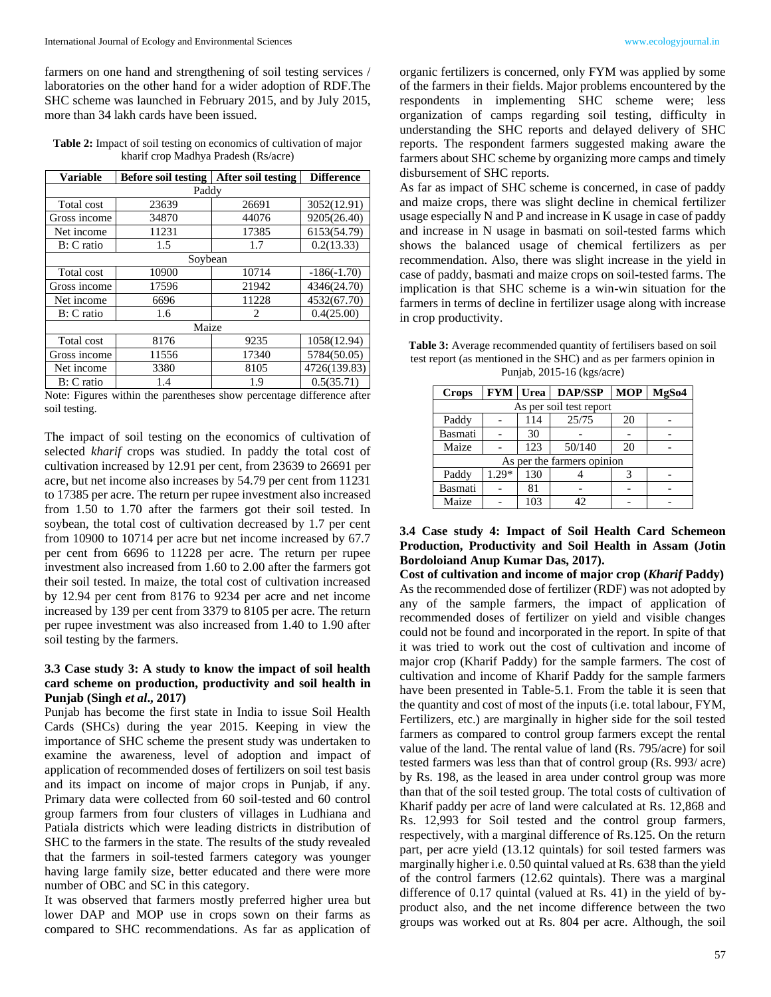farmers on one hand and strengthening of soil testing services / laboratories on the other hand for a wider adoption of RDF.The SHC scheme was launched in February 2015, and by July 2015, more than 34 lakh cards have been issued.

**Table 2:** Impact of soil testing on economics of cultivation of major kharif crop Madhya Pradesh (Rs/acre)

| <b>Variable</b> | <b>Before soil testing</b> | After soil testing          |               |  |  |  |
|-----------------|----------------------------|-----------------------------|---------------|--|--|--|
| Paddy           |                            |                             |               |  |  |  |
| Total cost      | 23639                      | 26691                       | 3052(12.91)   |  |  |  |
| Gross income    | 34870                      | 44076                       | 9205(26.40)   |  |  |  |
| Net income      | 11231                      | 17385                       | 6153(54.79)   |  |  |  |
| B: C ratio      | 1.5                        | 1.7                         | 0.2(13.33)    |  |  |  |
|                 | Soybean                    |                             |               |  |  |  |
| Total cost      | 10900                      | 10714                       | $-186(-1.70)$ |  |  |  |
| Gross income    | 17596                      | 21942                       | 4346(24.70)   |  |  |  |
| Net income      | 6696                       | 11228                       | 4532(67.70)   |  |  |  |
| B: C ratio      | 1.6                        | $\mathcal{D}_{\mathcal{L}}$ | 0.4(25.00)    |  |  |  |
|                 | Maize                      |                             |               |  |  |  |
| Total cost      | 8176                       | 9235                        | 1058(12.94)   |  |  |  |
| Gross income    | 11556                      | 17340                       | 5784(50.05)   |  |  |  |
| Net income      | 3380                       | 8105                        | 4726(139.83)  |  |  |  |
| B: C ratio      | 1.4                        | 1.9                         | 0.5(35.71)    |  |  |  |

Note: Figures within the parentheses show percentage difference after soil testing.

The impact of soil testing on the economics of cultivation of selected *kharif* crops was studied. In paddy the total cost of cultivation increased by 12.91 per cent, from 23639 to 26691 per acre, but net income also increases by 54.79 per cent from 11231 to 17385 per acre. The return per rupee investment also increased from 1.50 to 1.70 after the farmers got their soil tested. In soybean, the total cost of cultivation decreased by 1.7 per cent from 10900 to 10714 per acre but net income increased by 67.7 per cent from 6696 to 11228 per acre. The return per rupee investment also increased from 1.60 to 2.00 after the farmers got their soil tested. In maize, the total cost of cultivation increased by 12.94 per cent from 8176 to 9234 per acre and net income increased by 139 per cent from 3379 to 8105 per acre. The return per rupee investment was also increased from 1.40 to 1.90 after soil testing by the farmers.

### **3.3 Case study 3: A study to know the impact of soil health card scheme on production, productivity and soil health in Punjab (Singh** *et al***., 2017)**

Punjab has become the first state in India to issue Soil Health Cards (SHCs) during the year 2015. Keeping in view the importance of SHC scheme the present study was undertaken to examine the awareness, level of adoption and impact of application of recommended doses of fertilizers on soil test basis and its impact on income of major crops in Punjab, if any. Primary data were collected from 60 soil-tested and 60 control group farmers from four clusters of villages in Ludhiana and Patiala districts which were leading districts in distribution of SHC to the farmers in the state. The results of the study revealed that the farmers in soil-tested farmers category was younger having large family size, better educated and there were more number of OBC and SC in this category.

It was observed that farmers mostly preferred higher urea but lower DAP and MOP use in crops sown on their farms as compared to SHC recommendations. As far as application of

organic fertilizers is concerned, only FYM was applied by some of the farmers in their fields. Major problems encountered by the respondents in implementing SHC scheme were; less organization of camps regarding soil testing, difficulty in understanding the SHC reports and delayed delivery of SHC reports. The respondent farmers suggested making aware the farmers about SHC scheme by organizing more camps and timely disbursement of SHC reports.

As far as impact of SHC scheme is concerned, in case of paddy and maize crops, there was slight decline in chemical fertilizer usage especially N and P and increase in K usage in case of paddy and increase in N usage in basmati on soil-tested farms which shows the balanced usage of chemical fertilizers as per recommendation. Also, there was slight increase in the yield in case of paddy, basmati and maize crops on soil-tested farms. The implication is that SHC scheme is a win-win situation for the farmers in terms of decline in fertilizer usage along with increase in crop productivity.

**Table 3:** Average recommended quantity of fertilisers based on soil test report (as mentioned in the SHC) and as per farmers opinion in Punjab, 2015-16 (kgs/acre)

| <b>Crops</b>               | <b>FYM</b> Urea         |     | <b>DAP/SSP</b> | <b>MOP</b> | MgS <sub>04</sub> |  |
|----------------------------|-------------------------|-----|----------------|------------|-------------------|--|
|                            | As per soil test report |     |                |            |                   |  |
| Paddy                      |                         | 114 | 25/75          | 20         |                   |  |
| Basmati                    |                         | 30  |                |            |                   |  |
| Maize                      |                         | 123 | 50/140         | 20         |                   |  |
| As per the farmers opinion |                         |     |                |            |                   |  |
| Paddy                      | $1.29*$                 | 130 |                |            |                   |  |
| Basmati                    |                         | 81  |                |            |                   |  |
| Maize                      |                         | 103 | 42             |            |                   |  |

## **3.4 Case study 4: Impact of Soil Health Card Schemeon Production, Productivity and Soil Health in Assam (Jotin Bordoloiand Anup Kumar Das, 2017).**

**Cost of cultivation and income of major crop (***Kharif* **Paddy)** As the recommended dose of fertilizer (RDF) was not adopted by any of the sample farmers, the impact of application of recommended doses of fertilizer on yield and visible changes could not be found and incorporated in the report. In spite of that it was tried to work out the cost of cultivation and income of major crop (Kharif Paddy) for the sample farmers. The cost of cultivation and income of Kharif Paddy for the sample farmers have been presented in Table-5.1. From the table it is seen that the quantity and cost of most of the inputs (i.e. total labour, FYM, Fertilizers, etc.) are marginally in higher side for the soil tested farmers as compared to control group farmers except the rental value of the land. The rental value of land (Rs. 795/acre) for soil tested farmers was less than that of control group (Rs. 993/ acre) by Rs. 198, as the leased in area under control group was more than that of the soil tested group. The total costs of cultivation of Kharif paddy per acre of land were calculated at Rs. 12,868 and Rs. 12,993 for Soil tested and the control group farmers, respectively, with a marginal difference of Rs.125. On the return part, per acre yield (13.12 quintals) for soil tested farmers was marginally higher i.e. 0.50 quintal valued at Rs. 638 than the yield of the control farmers (12.62 quintals). There was a marginal difference of 0.17 quintal (valued at Rs. 41) in the yield of byproduct also, and the net income difference between the two groups was worked out at Rs. 804 per acre. Although, the soil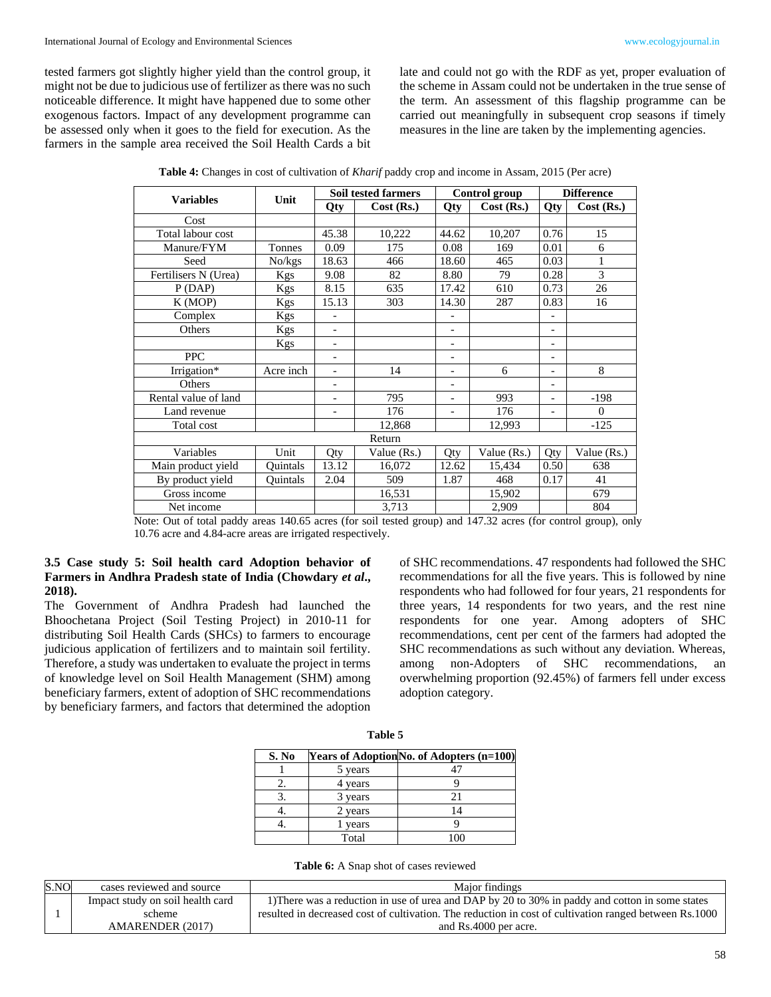tested farmers got slightly higher yield than the control group, it might not be due to judicious use of fertilizer as there was no such noticeable difference. It might have happened due to some other exogenous factors. Impact of any development programme can be assessed only when it goes to the field for execution. As the farmers in the sample area received the Soil Health Cards a bit late and could not go with the RDF as yet, proper evaluation of the scheme in Assam could not be undertaken in the true sense of the term. An assessment of this flagship programme can be carried out meaningfully in subsequent crop seasons if timely measures in the line are taken by the implementing agencies.

|                      |           |                          | <b>Soil tested farmers</b> |                          | Control group |                              | <b>Difference</b> |
|----------------------|-----------|--------------------------|----------------------------|--------------------------|---------------|------------------------------|-------------------|
| <b>Variables</b>     | Unit      | Qty                      | Cost (Rs.)                 | Qty                      | Cost (Rs.)    | Qty                          | $Cost$ (Rs.)      |
| Cost                 |           |                          |                            |                          |               |                              |                   |
| Total labour cost    |           | 45.38                    | 10,222                     | 44.62                    | 10,207        | 0.76                         | 15                |
| Manure/FYM           | Tonnes    | 0.09                     | 175                        | 0.08                     | 169           | 0.01                         | 6                 |
| Seed                 | No/kgs    | 18.63                    | 466                        | 18.60                    | 465           | 0.03                         | 1                 |
| Fertilisers N (Urea) | Kgs       | 9.08                     | 82                         | 8.80                     | 79            | 0.28                         | 3                 |
| P(DAP)               | Kgs       | 8.15                     | 635                        | 17.42                    | 610           | 0.73                         | 26                |
| K (MOP)              | Kgs       | 15.13                    | 303                        | 14.30                    | 287           | 0.83                         | 16                |
| Complex              | Kgs       |                          |                            | $\overline{\phantom{a}}$ |               | $\overline{\phantom{0}}$     |                   |
| Others               | Kgs       | $\overline{\phantom{a}}$ |                            | $\overline{\phantom{a}}$ |               | $\qquad \qquad \blacksquare$ |                   |
|                      | Kgs       | $\overline{\phantom{a}}$ |                            | $\overline{\phantom{a}}$ |               | $\overline{\phantom{a}}$     |                   |
| <b>PPC</b>           |           | $\overline{\phantom{a}}$ |                            | $\overline{\phantom{a}}$ |               | $\overline{\phantom{a}}$     |                   |
| Irrigation*          | Acre inch | $\overline{\phantom{a}}$ | 14                         | $\overline{\phantom{a}}$ | 6             | $\overline{\phantom{a}}$     | 8                 |
| Others               |           |                          |                            | $\overline{\phantom{a}}$ |               | $\overline{\phantom{0}}$     |                   |
| Rental value of land |           |                          | 795                        | $\overline{\phantom{a}}$ | 993           | $\overline{a}$               | $-198$            |
| Land revenue         |           |                          | 176                        | $\overline{\phantom{0}}$ | 176           | $\qquad \qquad -$            | $\Omega$          |
| Total cost           |           |                          | 12,868                     |                          | 12,993        |                              | $-125$            |
|                      |           |                          | Return                     |                          |               |                              |                   |
| Variables            | Unit      | Qty                      | Value (Rs.)                | Qty                      | Value (Rs.)   | Qty                          | Value (Rs.)       |
| Main product yield   | Quintals  | 13.12                    | 16,072                     | 12.62                    | 15,434        | 0.50                         | 638               |
| By product yield     | Ouintals  | 2.04                     | 509                        | 1.87                     | 468           | 0.17                         | 41                |
| Gross income         |           |                          | 16,531                     |                          | 15,902        |                              | 679               |
| Net income           |           |                          | 3,713                      |                          | 2,909         |                              | 804               |

**Table 4:** Changes in cost of cultivation of *Kharif* paddy crop and income in Assam, 2015 (Per acre)

Note: Out of total paddy areas 140.65 acres (for soil tested group) and 147.32 acres (for control group), only 10.76 acre and 4.84-acre areas are irrigated respectively.

### **3.5 Case study 5: Soil health card Adoption behavior of Farmers in Andhra Pradesh state of India (Chowdary** *et al***., 2018).**

The Government of Andhra Pradesh had launched the Bhoochetana Project (Soil Testing Project) in 2010-11 for distributing Soil Health Cards (SHCs) to farmers to encourage judicious application of fertilizers and to maintain soil fertility. Therefore, a study was undertaken to evaluate the project in terms of knowledge level on Soil Health Management (SHM) among beneficiary farmers, extent of adoption of SHC recommendations by beneficiary farmers, and factors that determined the adoption

of SHC recommendations. 47 respondents had followed the SHC recommendations for all the five years. This is followed by nine respondents who had followed for four years, 21 respondents for three years, 14 respondents for two years, and the rest nine respondents for one year. Among adopters of SHC recommendations, cent per cent of the farmers had adopted the SHC recommendations as such without any deviation. Whereas, among non-Adopters of SHC recommendations, an overwhelming proportion (92.45%) of farmers fell under excess adoption category.

| S. No |         | Years of Adoption No. of Adopters (n=100) |
|-------|---------|-------------------------------------------|
|       | 5 years |                                           |
|       | 4 years |                                           |
|       | 3 years | 21                                        |
|       | 2 years | 14                                        |
|       | years   |                                           |
|       | Total   |                                           |

**Table 5**

|  | <b>Table 6:</b> A Snap shot of cases reviewed |
|--|-----------------------------------------------|
|  |                                               |

| S.NO | cases reviewed and source        | Maior findings                                                                                         |
|------|----------------------------------|--------------------------------------------------------------------------------------------------------|
|      | Impact study on soil health card | 1) There was a reduction in use of urea and DAP by 20 to 30% in paddy and cotton in some states        |
|      | scheme                           | resulted in decreased cost of cultivation. The reduction in cost of cultivation ranged between Rs.1000 |
|      | AMARENDER (2017)                 | and Rs.4000 per acre.                                                                                  |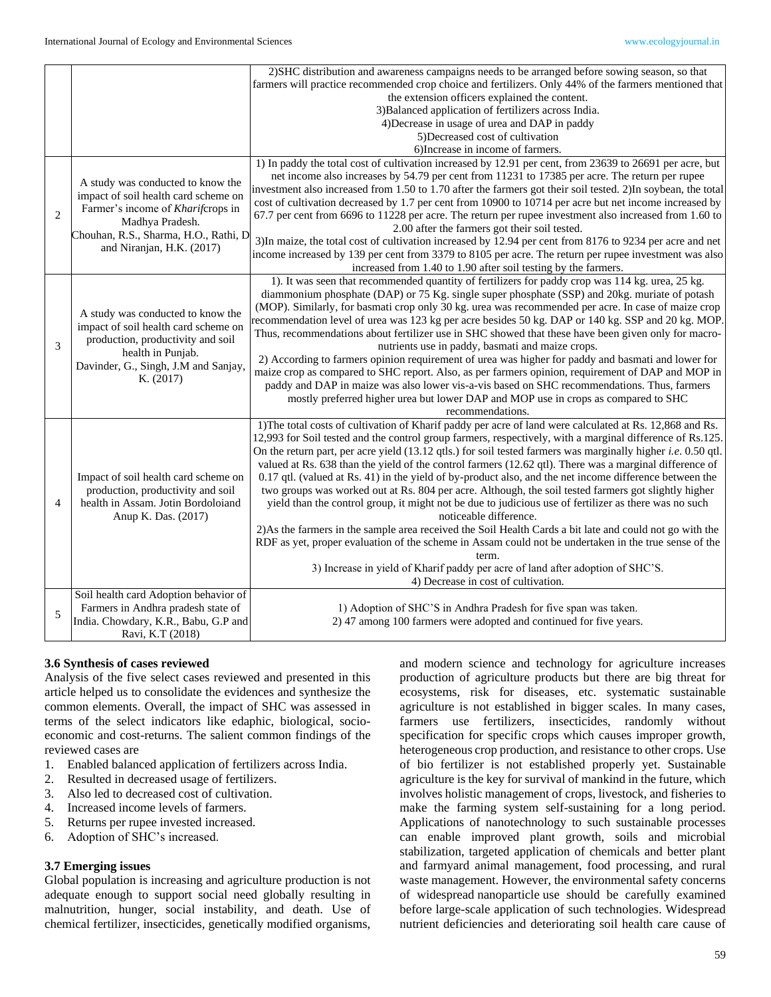|                |                                                                           | 2) SHC distribution and awareness campaigns needs to be arranged before sowing season, so that                                                             |
|----------------|---------------------------------------------------------------------------|------------------------------------------------------------------------------------------------------------------------------------------------------------|
|                |                                                                           | farmers will practice recommended crop choice and fertilizers. Only 44% of the farmers mentioned that                                                      |
|                |                                                                           | the extension officers explained the content.                                                                                                              |
|                |                                                                           | 3) Balanced application of fertilizers across India.                                                                                                       |
|                |                                                                           | 4) Decrease in usage of urea and DAP in paddy                                                                                                              |
|                |                                                                           | 5)Decreased cost of cultivation                                                                                                                            |
|                |                                                                           | 6) Increase in income of farmers.                                                                                                                          |
|                |                                                                           | 1) In paddy the total cost of cultivation increased by 12.91 per cent, from 23639 to 26691 per acre, but                                                   |
|                | A study was conducted to know the                                         | net income also increases by 54.79 per cent from 11231 to 17385 per acre. The return per rupee                                                             |
|                | impact of soil health card scheme on                                      | investment also increased from 1.50 to 1.70 after the farmers got their soil tested. 2)In soybean, the total                                               |
| $\overline{2}$ | Farmer's income of Kharifcrops in                                         | cost of cultivation decreased by 1.7 per cent from 10900 to 10714 per acre but net income increased by                                                     |
|                | Madhya Pradesh.                                                           | 67.7 per cent from 6696 to 11228 per acre. The return per rupee investment also increased from 1.60 to                                                     |
|                | Chouhan, R.S., Sharma, H.O., Rathi, D.                                    | 2.00 after the farmers got their soil tested.<br>3) In maize, the total cost of cultivation increased by 12.94 per cent from 8176 to 9234 per acre and net |
|                | and Niranjan, H.K. (2017)                                                 | income increased by 139 per cent from 3379 to 8105 per acre. The return per rupee investment was also                                                      |
|                |                                                                           | increased from 1.40 to 1.90 after soil testing by the farmers.                                                                                             |
|                |                                                                           | 1). It was seen that recommended quantity of fertilizers for paddy crop was 114 kg. urea, 25 kg.                                                           |
|                |                                                                           | diammonium phosphate (DAP) or 75 Kg. single super phosphate (SSP) and 20kg. muriate of potash                                                              |
|                |                                                                           | (MOP). Similarly, for basmati crop only 30 kg. urea was recommended per acre. In case of maize crop                                                        |
|                | A study was conducted to know the                                         | recommendation level of urea was 123 kg per acre besides 50 kg. DAP or 140 kg. SSP and 20 kg. MOP.                                                         |
|                | impact of soil health card scheme on<br>production, productivity and soil | Thus, recommendations about fertilizer use in SHC showed that these have been given only for macro-                                                        |
| 3              |                                                                           | nutrients use in paddy, basmati and maize crops.                                                                                                           |
|                | health in Punjab.                                                         | 2) According to farmers opinion requirement of urea was higher for paddy and basmati and lower for                                                         |
|                | Davinder, G., Singh, J.M and Sanjay,                                      | maize crop as compared to SHC report. Also, as per farmers opinion, requirement of DAP and MOP in                                                          |
|                | K. (2017)                                                                 | paddy and DAP in maize was also lower vis-a-vis based on SHC recommendations. Thus, farmers                                                                |
|                |                                                                           | mostly preferred higher urea but lower DAP and MOP use in crops as compared to SHC                                                                         |
|                |                                                                           | recommendations.                                                                                                                                           |
|                |                                                                           | 1) The total costs of cultivation of Kharif paddy per acre of land were calculated at Rs. 12,868 and Rs.                                                   |
|                |                                                                           | 12,993 for Soil tested and the control group farmers, respectively, with a marginal difference of Rs.125.                                                  |
|                |                                                                           | On the return part, per acre yield (13.12 qtls.) for soil tested farmers was marginally higher <i>i.e.</i> 0.50 qtl.                                       |
|                |                                                                           | valued at Rs. 638 than the yield of the control farmers (12.62 qtl). There was a marginal difference of                                                    |
|                | Impact of soil health card scheme on                                      | 0.17 qtl. (valued at Rs. 41) in the yield of by-product also, and the net income difference between the                                                    |
|                | production, productivity and soil                                         | two groups was worked out at Rs. 804 per acre. Although, the soil tested farmers got slightly higher                                                       |
| $\overline{4}$ | health in Assam. Jotin Bordoloiand                                        | yield than the control group, it might not be due to judicious use of fertilizer as there was no such                                                      |
|                | Anup K. Das. (2017)                                                       | noticeable difference.                                                                                                                                     |
|                |                                                                           | 2) As the farmers in the sample area received the Soil Health Cards a bit late and could not go with the                                                   |
|                |                                                                           | RDF as yet, proper evaluation of the scheme in Assam could not be undertaken in the true sense of the                                                      |
|                |                                                                           | term.                                                                                                                                                      |
|                |                                                                           | 3) Increase in yield of Kharif paddy per acre of land after adoption of SHC'S.                                                                             |
|                |                                                                           | 4) Decrease in cost of cultivation.                                                                                                                        |
|                | Soil health card Adoption behavior of                                     |                                                                                                                                                            |
| 5              | Farmers in Andhra pradesh state of                                        | 1) Adoption of SHC'S in Andhra Pradesh for five span was taken.                                                                                            |
|                | India. Chowdary, K.R., Babu, G.P and                                      | 2) 47 among 100 farmers were adopted and continued for five years.                                                                                         |
|                | Ravi, K.T (2018)                                                          |                                                                                                                                                            |

#### **3.6 Synthesis of cases reviewed**

Analysis of the five select cases reviewed and presented in this article helped us to consolidate the evidences and synthesize the common elements. Overall, the impact of SHC was assessed in terms of the select indicators like edaphic, biological, socioeconomic and cost-returns. The salient common findings of the reviewed cases are

- 1. Enabled balanced application of fertilizers across India.
- 2. Resulted in decreased usage of fertilizers.
- 3. Also led to decreased cost of cultivation.
- 4. Increased income levels of farmers.
- 5. Returns per rupee invested increased.
- 6. Adoption of SHC's increased.

#### **3.7 Emerging issues**

Global population is increasing and agriculture production is not adequate enough to support social need globally resulting in malnutrition, hunger, social instability, and death. Use of chemical fertilizer, insecticides, genetically modified organisms,

and modern science and technology for agriculture increases production of agriculture products but there are big threat for ecosystems, risk for diseases, etc. systematic sustainable agriculture is not established in bigger scales. In many cases, farmers use fertilizers, insecticides, randomly without specification for specific crops which causes improper growth, heterogeneous crop production, and resistance to other crops. Use of bio fertilizer is not established properly yet. Sustainable agriculture is the key for survival of mankind in the future, which involves holistic management of crops, livestock, and fisheries to make the farming system self-sustaining for a long period. Applications of nanotechnology to such sustainable processes can enable improved plant growth, soils and microbial stabilization, targeted application of chemicals and better plant and farmyard animal management, food processing, and rural waste management. However, the environmental safety concerns of widespread nanoparticle use should be carefully examined before large-scale application of such technologies. Widespread nutrient deficiencies and deteriorating soil health care cause of